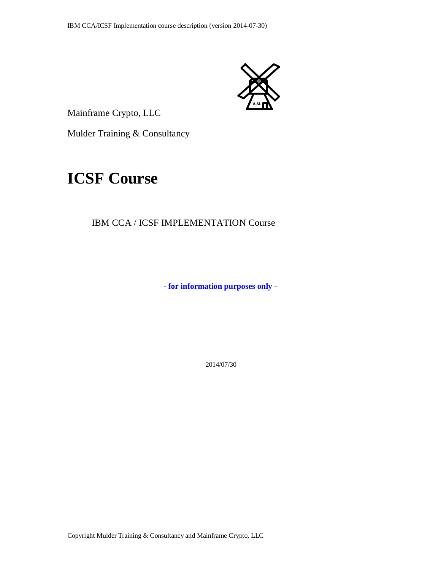

Mainframe Crypto, LLC

Mulder Training & Consultancy

# **ICSF Course**

## IBM CCA / ICSF IMPLEMENTATION Course

**- for information purposes only -**

2014/07/30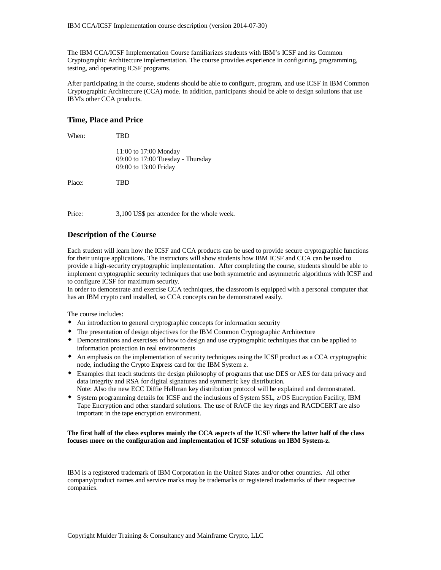The IBM CCA/ICSF Implementation Course familiarizes students with IBM's ICSF and its Common Cryptographic Architecture implementation. The course provides experience in configuring, programming, testing, and operating ICSF programs.

After participating in the course, students should be able to configure, program, and use ICSF in IBM Common Cryptographic Architecture (CCA) mode. In addition, participants should be able to design solutions that use IBM's other CCA products.

#### **Time, Place and Price**

| When:  | TBD                                                                                 |
|--------|-------------------------------------------------------------------------------------|
|        | 11:00 to 17:00 Monday<br>09:00 to 17:00 Tuesday - Thursday<br>09:00 to 13:00 Friday |
| Place: | TBD                                                                                 |
|        |                                                                                     |

Price: 3,100 US\$ per attendee for the whole week.

#### **Description of the Course**

Each student will learn how the ICSF and CCA products can be used to provide secure cryptographic functions for their unique applications. The instructors will show students how IBM ICSF and CCA can be used to provide a high-security cryptographic implementation. After completing the course, students should be able to implement cryptographic security techniques that use both symmetric and asymmetric algorithms with ICSF and to configure ICSF for maximum security.

In order to demonstrate and exercise CCA techniques, the classroom is equipped with a personal computer that has an IBM crypto card installed, so CCA concepts can be demonstrated easily.

The course includes:

- An introduction to general cryptographic concepts for information security
- The presentation of design objectives for the IBM Common Cryptographic Architecture
- Demonstrations and exercises of how to design and use cryptographic techniques that can be applied to information protection in real environments
- An emphasis on the implementation of security techniques using the ICSF product as a CCA cryptographic node, including the Crypto Express card for the IBM System z.
- Examples that teach students the design philosophy of programs that use DES or AES for data privacy and data integrity and RSA for digital signatures and symmetric key distribution.
- Note: Also the new ECC Diffie Hellman key distribution protocol will be explained and demonstrated.
- System programming details for ICSF and the inclusions of System SSL, z/OS Encryption Facility, IBM Tape Encryption and other standard solutions. The use of RACF the key rings and RACDCERT are also important in the tape encryption environment.

#### **The first half of the class explores mainly the CCA aspects of the ICSF where the latter half of the class focuses more on the configuration and implementation of ICSF solutions on IBM System-z.**

IBM is a registered trademark of IBM Corporation in the United States and/or other countries. All other company/product names and service marks may be trademarks or registered trademarks of their respective companies.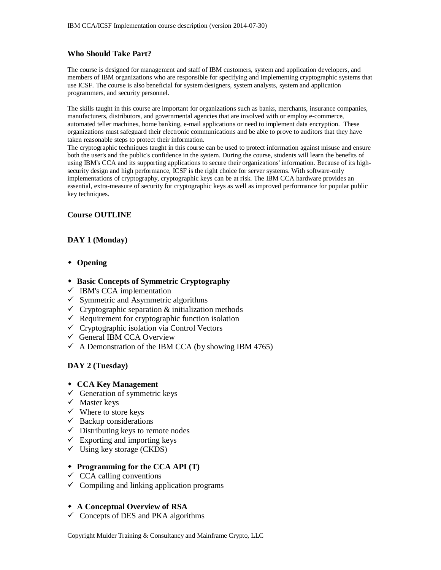## **Who Should Take Part?**

The course is designed for management and staff of IBM customers, system and application developers, and members of IBM organizations who are responsible for specifying and implementing cryptographic systems that use ICSF. The course is also beneficial for system designers, system analysts, system and application programmers, and security personnel.

The skills taught in this course are important for organizations such as banks, merchants, insurance companies, manufacturers, distributors, and governmental agencies that are involved with or employ e-commerce, automated teller machines, home banking, e-mail applications or need to implement data encryption. These organizations must safeguard their electronic communications and be able to prove to auditors that they have taken reasonable steps to protect their information.

The cryptographic techniques taught in this course can be used to protect information against misuse and ensure both the user's and the public's confidence in the system. During the course, students will learn the benefits of using IBM's CCA and its supporting applications to secure their organizations' information. Because of its highsecurity design and high performance, ICSF is the right choice for server systems. With software-only implementations of cryptography, cryptographic keys can be at risk. The IBM CCA hardware provides an essential, extra-measure of security for cryptographic keys as well as improved performance for popular public key techniques.

#### **Course OUTLINE**

## **DAY 1 (Monday)**

- **Opening**
- **Basic Concepts of Symmetric Cryptography**
- $\checkmark$  IBM's CCA implementation
- $\checkmark$  Symmetric and Asymmetric algorithms
- $\checkmark$  Cryptographic separation & initialization methods
- $\checkmark$  Requirement for cryptographic function isolation
- $\checkmark$  Cryptographic isolation via Control Vectors
- General IBM CCA Overview
- $\checkmark$  A Demonstration of the IBM CCA (by showing IBM 4765)

## **DAY 2 (Tuesday)**

- **CCA Key Management**
- $\checkmark$  Generation of symmetric keys
- $\checkmark$  Master keys
- $\checkmark$  Where to store keys
- $\checkmark$  Backup considerations
- $\checkmark$  Distributing keys to remote nodes
- $\checkmark$  Exporting and importing keys
- $\checkmark$  Using key storage (CKDS)

#### **Programming for the CCA API (T)**

- $\checkmark$  CCA calling conventions
- $\checkmark$  Compiling and linking application programs

#### **A Conceptual Overview of RSA**

 $\checkmark$  Concepts of DES and PKA algorithms

Copyright Mulder Training & Consultancy and Mainframe Crypto, LLC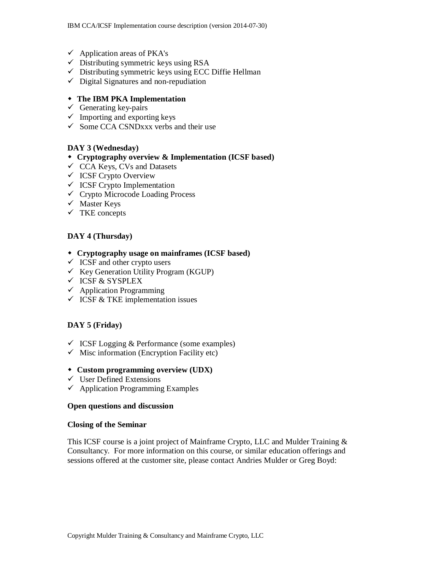- $\checkmark$  Application areas of PKA's
- $\checkmark$  Distributing symmetric keys using RSA
- $\checkmark$  Distributing symmetric keys using ECC Diffie Hellman
- $\checkmark$  Digital Signatures and non-repudiation

## **The IBM PKA Implementation**

- $\checkmark$  Generating key-pairs
- $\checkmark$  Importing and exporting keys
- $\checkmark$  Some CCA CSNDxxx verbs and their use

## **DAY 3 (Wednesday)**

- **Cryptography overview & Implementation (ICSF based)**
- $\checkmark$  CCA Keys, CVs and Datasets
- $\checkmark$  ICSF Crypto Overview
- $\checkmark$  ICSF Crypto Implementation
- $\checkmark$  Crypto Microcode Loading Process
- $\checkmark$  Master Keys
- $\checkmark$  TKE concepts

## **DAY 4 (Thursday)**

- **Cryptography usage on mainframes (ICSF based)**
- $\checkmark$  ICSF and other crypto users
- $\checkmark$  Key Generation Utility Program (KGUP)
- $\checkmark$  ICSF & SYSPLEX
- $\checkmark$  Application Programming
- $\checkmark$  ICSF & TKE implementation issues

## **DAY 5 (Friday)**

- $\checkmark$  ICSF Logging & Performance (some examples)
- $\checkmark$  Misc information (Encryption Facility etc)

## **Custom programming overview (UDX)**

- $\checkmark$  User Defined Extensions
- $\checkmark$  Application Programming Examples

#### **Open questions and discussion**

#### **Closing of the Seminar**

This ICSF course is a joint project of Mainframe Crypto, LLC and Mulder Training & Consultancy. For more information on this course, or similar education offerings and sessions offered at the customer site, please contact Andries Mulder or Greg Boyd: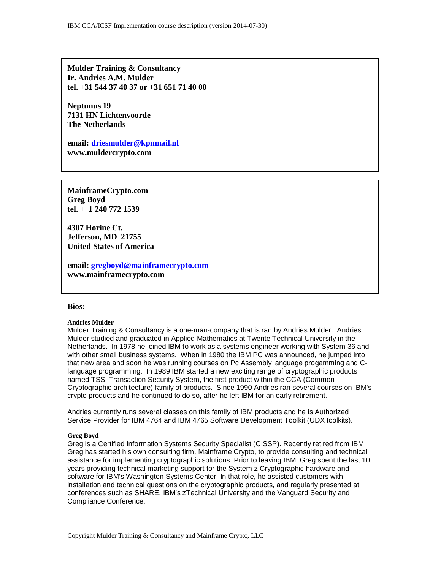**Mulder Training & Consultancy Ir. Andries A.M. Mulder tel. +31 544 37 40 37 or +31 651 71 40 00**

**Neptunus 19 7131 HN Lichtenvoorde The Netherlands**

**email: driesmulder@kpnmail.nl www.muldercrypto.com**

**MainframeCrypto.com Greg Boyd tel. + 1 240 772 1539**

**4307 Horine Ct. Jefferson, MD 21755 United States of America**

**email: gregboyd@mainframecrypto.com www.mainframecrypto.com**

#### **Bios:**

#### **Andries Mulder**

Mulder Training & Consultancy is a one-man-company that is ran by Andries Mulder. Andries Mulder studied and graduated in Applied Mathematics at Twente Technical University in the Netherlands. In 1978 he joined IBM to work as a systems engineer working with System 36 and with other small business systems. When in 1980 the IBM PC was announced, he jumped into that new area and soon he was running courses on Pc Assembly language progamming and Clanguage programming. In 1989 IBM started a new exciting range of cryptographic products named TSS, Transaction Security System, the first product within the CCA (Common Cryptographic architecture) family of products. Since 1990 Andries ran several courses on IBM's crypto products and he continued to do so, after he left IBM for an early retirement.

Andries currently runs several classes on this family of IBM products and he is Authorized Service Provider for IBM 4764 and IBM 4765 Software Development Toolkit (UDX toolkits).

#### **Greg Boyd**

Greg is a Certified Information Systems Security Specialist (CISSP). Recently retired from IBM, Greg has started his own consulting firm, Mainframe Crypto, to provide consulting and technical assistance for implementing cryptographic solutions. Prior to leaving IBM, Greg spent the last 10 years providing technical marketing support for the System z Cryptographic hardware and software for IBM's Washington Systems Center. In that role, he assisted customers with installation and technical questions on the cryptographic products, and regularly presented at conferences such as SHARE, IBM's zTechnical University and the Vanguard Security and Compliance Conference.